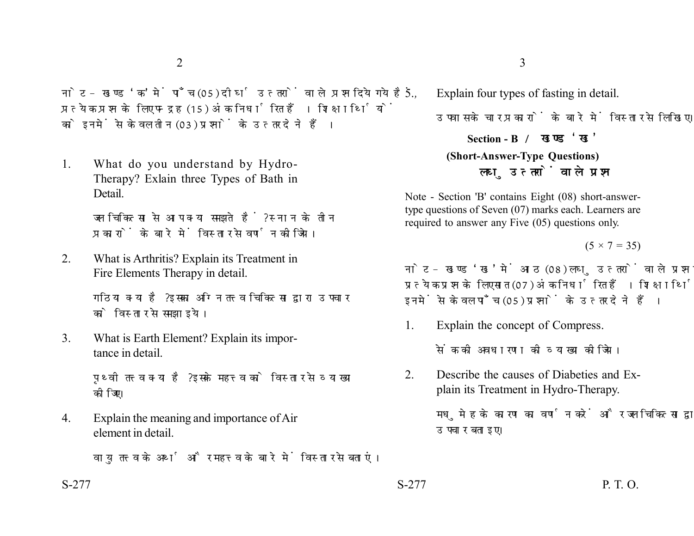नोट- खण्ड 'क' में पाँच (05) दीर्घ उत्तरों वाले प्रश्न दिये गये हैं. प्रत्येक प्रश्न के लिए पन्द्रह (15) अंक निर्धारित हैं। शिक्षार्थियों को इनमें से केवल तीन (03) प्रश्नों के उत्तर देने हैं।

1. What do you understand by Hydro-Therapy? Exlain three Types of Bath in **Detail** 

> जल चिकित्सा से आप क्या समझते हैं? स्नान के तीन प्रकारों के बारे में विस्तार से वर्णन कीजिये।

2. What is Arthritis? Explain its Treatment in Fire Elements Therapy in detail.

> गठिया क्या है? इसका अग्नि तत्त्व चिकित्सा द्वारा उपचार को विस्तार से समझाइये।

3. What is Earth Element? Explain its importance in detail.

> पथ्वी तत्त्व क्या है? इसके महत्त्व को विस्तार से व्याख्या कोजिए।

4. Explain the meaning and importance of Air element in detail.

वाय तत्त्व के अर्थ और महत्त्व के बारे में विस्तार से बताएं।

5. Explain four types of fasting in detail. उपवास के चार प्रकारों के बारे में विस्तार से लिखिए। **Section - B (Short-Answer-Type Questions)** लघ उत्तरों वाले प्रश्न

Note - Section 'B' contains Eight (08) short-answertype questions of Seven (07) marks each. Learners are required to answer any Five (05) questions only.

 $(5 \times 7 = 35)$ 

नोट- खण्ड 'ख' में आठ (08) लघु उत्तरों वाले प्रश्न दिये गये हैं. प्रत्येक प्रश्न के लिए सात (07) अंक निर्धारित हैं। शिक्षार्थियों को इनमें से केवल पाँच (05) प्रश्नों के उत्तर देने हैं।

1. Explain the concept of Compress.

सेंक की अवधारणा की व्याख्या कीजिये।

2. Describe the causes of Diabeties and Explain its Treatment in Hydro-Therapy.

> मधमेह के कारण का वर्णन करें और जल चिकित्सा द्वारा उपचार बताइए।